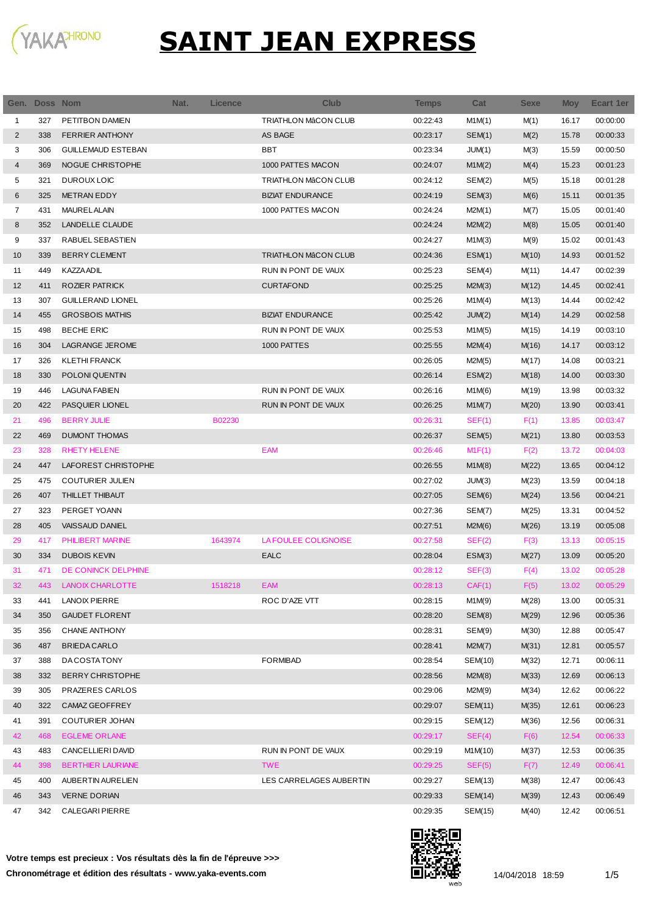

| Gen.           | Doss Nom |                           | Nat. | <b>Licence</b> | <b>Club</b>                 | <b>Temps</b> | Cat     | <b>Sexe</b> | <b>Moy</b> | Ecart 1er |
|----------------|----------|---------------------------|------|----------------|-----------------------------|--------------|---------|-------------|------------|-----------|
| 1              | 327      | PETITBON DAMIEN           |      |                | <b>TRIATHLON MÂCON CLUB</b> | 00:22:43     | M1M(1)  | M(1)        | 16.17      | 00:00:00  |
| $\overline{2}$ | 338      | <b>FERRIER ANTHONY</b>    |      |                | AS BAGE                     | 00:23:17     | SEM(1)  | M(2)        | 15.78      | 00:00:33  |
| 3              | 306      | <b>GUILLEMAUD ESTEBAN</b> |      |                | BBT                         | 00:23:34     | JUM(1)  | M(3)        | 15.59      | 00:00:50  |
| 4              | 369      | NOGUE CHRISTOPHE          |      |                | 1000 PATTES MACON           | 00:24:07     | M1M(2)  | M(4)        | 15.23      | 00:01:23  |
| 5              | 321      | DUROUX LOIC               |      |                | <b>TRIATHLON MÂCON CLUB</b> | 00:24:12     | SEM(2)  | M(5)        | 15.18      | 00:01:28  |
| 6              | 325      | <b>METRAN EDDY</b>        |      |                | <b>BIZIAT ENDURANCE</b>     | 00:24:19     | SEM(3)  | M(6)        | 15.11      | 00:01:35  |
| 7              | 431      | <b>MAUREL ALAIN</b>       |      |                | 1000 PATTES MACON           | 00:24:24     | M2M(1)  | M(7)        | 15.05      | 00:01:40  |
| 8              | 352      | LANDELLE CLAUDE           |      |                |                             | 00:24:24     | M2M(2)  | M(8)        | 15.05      | 00:01:40  |
| 9              | 337      | RABUEL SEBASTIEN          |      |                |                             | 00:24:27     | M1M(3)  | M(9)        | 15.02      | 00:01:43  |
| 10             | 339      | <b>BERRY CLEMENT</b>      |      |                | <b>TRIATHLON MÂCON CLUB</b> | 00:24:36     | ESM(1)  | M(10)       | 14.93      | 00:01:52  |
| 11             | 449      | <b>KAZZA ADIL</b>         |      |                | RUN IN PONT DE VAUX         | 00:25:23     | SEM(4)  | M(11)       | 14.47      | 00:02:39  |
| 12             | 411      | ROZIER PATRICK            |      |                | <b>CURTAFOND</b>            | 00:25:25     | M2M(3)  | M(12)       | 14.45      | 00:02:41  |
| 13             | 307      | <b>GUILLERAND LIONEL</b>  |      |                |                             | 00:25:26     | M1M(4)  | M(13)       | 14.44      | 00:02:42  |
| 14             | 455      | <b>GROSBOIS MATHIS</b>    |      |                | <b>BIZIAT ENDURANCE</b>     | 00:25:42     | JUM(2)  | M(14)       | 14.29      | 00:02:58  |
| 15             | 498      | <b>BECHE ERIC</b>         |      |                | RUN IN PONT DE VAUX         | 00:25:53     | M1M(5)  | M(15)       | 14.19      | 00:03:10  |
| 16             | 304      | <b>LAGRANGE JEROME</b>    |      |                | 1000 PATTES                 | 00:25:55     | M2M(4)  | M(16)       | 14.17      | 00:03:12  |
| 17             | 326      | <b>KLETHI FRANCK</b>      |      |                |                             | 00:26:05     | M2M(5)  | M(17)       | 14.08      | 00:03:21  |
| 18             | 330      | POLONI QUENTIN            |      |                |                             | 00:26:14     | ESM(2)  | M(18)       | 14.00      | 00:03:30  |
| 19             | 446      | <b>LAGUNA FABIEN</b>      |      |                | RUN IN PONT DE VAUX         | 00:26:16     | M1M(6)  | M(19)       | 13.98      | 00:03:32  |
| 20             | 422      | PASQUIER LIONEL           |      |                | RUN IN PONT DE VAUX         | 00:26:25     | M1M(7)  | M(20)       | 13.90      | 00:03:41  |
| 21             | 496      | <b>BERRY JULIE</b>        |      | B02230         |                             | 00:26:31     | SEF(1)  | F(1)        | 13.85      | 00:03:47  |
| 22             | 469      | <b>DUMONT THOMAS</b>      |      |                |                             | 00:26:37     | SEM(5)  | M(21)       | 13.80      | 00:03:53  |
| 23             | 328      | <b>RHETY HELENE</b>       |      |                | <b>EAM</b>                  | 00:26:46     | M1F(1)  | F(2)        | 13.72      | 00:04:03  |
| 24             | 447      | LAFOREST CHRISTOPHE       |      |                |                             | 00:26:55     | M1M(8)  | M(22)       | 13.65      | 00:04:12  |
| 25             | 475      | <b>COUTURIER JULIEN</b>   |      |                |                             | 00:27:02     | JUM(3)  | M(23)       | 13.59      | 00:04:18  |
| 26             | 407      | THILLET THIBAUT           |      |                |                             | 00:27:05     | SEM(6)  | M(24)       | 13.56      | 00:04:21  |
| 27             | 323      | PERGET YOANN              |      |                |                             | 00:27:36     | SEM(7)  | M(25)       | 13.31      | 00:04:52  |
| 28             | 405      | VAISSAUD DANIEL           |      |                |                             | 00:27:51     | M2M(6)  | M(26)       | 13.19      | 00:05:08  |
| 29             | 417      | PHILIBERT MARINE          |      | 1643974        | LA FOULEE COLIGNOISE        | 00:27:58     | SEF(2)  | F(3)        | 13.13      | 00:05:15  |
| 30             | 334      | <b>DUBOIS KEVIN</b>       |      |                | <b>EALC</b>                 | 00:28:04     | ESM(3)  | M(27)       | 13.09      | 00:05:20  |
| 31             | 471      | DE CONINCK DELPHINE       |      |                |                             | 00:28:12     | SEF(3)  | F(4)        | 13.02      | 00:05:28  |
| 32             | 443      | <b>LANOIX CHARLOTTE</b>   |      | 1518218        | EAM                         | 00:28:13     | CAF(1)  | F(5)        | 13.02      | 00:05:29  |
| 33             | 441      | <b>LANOIX PIERRE</b>      |      |                | ROC D'AZE VTT               | 00:28:15     | M1M(9)  | M(28)       | 13.00      | 00:05:31  |
| 34             | 350      | <b>GAUDET FLORENT</b>     |      |                |                             | 00:28:20     | SEM(8)  | M(29)       | 12.96      | 00:05:36  |
| 35             | 356      | CHANE ANTHONY             |      |                |                             | 00:28:31     | SEM(9)  | M(30)       | 12.88      | 00:05:47  |
| 36             | 487      | <b>BRIEDA CARLO</b>       |      |                |                             | 00:28:41     | M2M(7)  | M(31)       | 12.81      | 00:05:57  |
| 37             | 388      | DA COSTA TONY             |      |                | <b>FORMIBAD</b>             | 00:28:54     | SEM(10) | M(32)       | 12.71      | 00:06:11  |
| 38             | 332      | <b>BERRY CHRISTOPHE</b>   |      |                |                             | 00:28:56     | M2M(8)  | M(33)       | 12.69      | 00:06:13  |
| 39             | 305      | PRAZERES CARLOS           |      |                |                             | 00:29:06     | M2M(9)  | M(34)       | 12.62      | 00:06:22  |
| 40             | 322      | CAMAZ GEOFFREY            |      |                |                             | 00:29:07     | SEM(11) | M(35)       | 12.61      | 00:06:23  |
| 41             | 391      | <b>COUTURIER JOHAN</b>    |      |                |                             | 00:29:15     | SEM(12) | M(36)       | 12.56      | 00:06:31  |
| 42             | 468      | <b>EGLEME ORLANE</b>      |      |                |                             | 00:29:17     | SEF(4)  | F(6)        | 12.54      | 00:06:33  |
| 43             | 483      | CANCELLIERI DAVID         |      |                | RUN IN PONT DE VAUX         | 00:29:19     | M1M(10) | M(37)       | 12.53      | 00:06:35  |
| 44             | 398      | <b>BERTHIER LAURIANE</b>  |      |                | <b>TWE</b>                  | 00:29:25     | SEF(5)  | F(7)        | 12.49      | 00:06:41  |
| 45             | 400      | AUBERTIN AURELIEN         |      |                | LES CARRELAGES AUBERTIN     | 00:29:27     | SEM(13) | M(38)       | 12.47      | 00:06:43  |
| 46             | 343      | <b>VERNE DORIAN</b>       |      |                |                             | 00:29:33     | SEM(14) | M(39)       | 12.43      | 00:06:49  |
| 47             | 342      | <b>CALEGARI PIERRE</b>    |      |                |                             | 00:29:35     | SEM(15) | M(40)       | 12.42      | 00:06:51  |

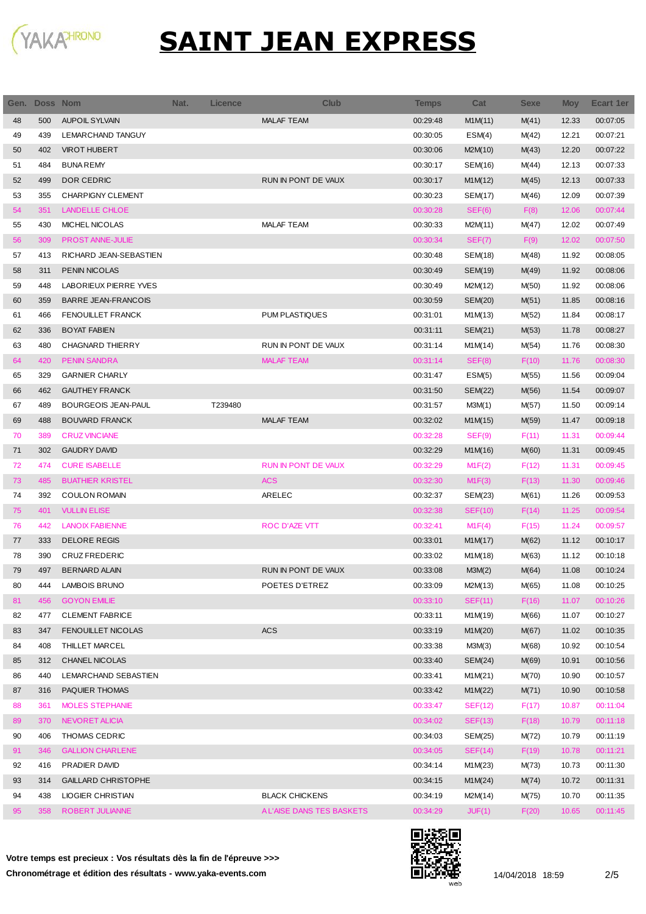

| Gen. | Doss Nom |                            | Nat. | <b>Licence</b> | <b>Club</b>                | Temps    | Cat            | <b>Sexe</b> | <b>Moy</b> | Ecart 1er |
|------|----------|----------------------------|------|----------------|----------------------------|----------|----------------|-------------|------------|-----------|
| 48   | 500      | <b>AUPOIL SYLVAIN</b>      |      |                | <b>MALAF TEAM</b>          | 00:29:48 | M1M(11)        | M(41)       | 12.33      | 00:07:05  |
| 49   | 439      | LEMARCHAND TANGUY          |      |                |                            | 00:30:05 | ESM(4)         | M(42)       | 12.21      | 00:07:21  |
| 50   | 402      | <b>VIROT HUBERT</b>        |      |                |                            | 00:30:06 | M2M(10)        | M(43)       | 12.20      | 00:07:22  |
| 51   | 484      | <b>BUNA REMY</b>           |      |                |                            | 00:30:17 | SEM(16)        | M(44)       | 12.13      | 00:07:33  |
| 52   | 499      | DOR CEDRIC                 |      |                | RUN IN PONT DE VAUX        | 00:30:17 | M1M(12)        | M(45)       | 12.13      | 00:07:33  |
| 53   | 355      | <b>CHARPIGNY CLEMENT</b>   |      |                |                            | 00:30:23 | SEM(17)        | M(46)       | 12.09      | 00:07:39  |
| 54   | 351      | <b>LANDELLE CHLOE</b>      |      |                |                            | 00:30:28 | SEF(6)         | F(8)        | 12.06      | 00:07:44  |
| 55   | 430      | MICHEL NICOLAS             |      |                | <b>MALAF TEAM</b>          | 00:30:33 | M2M(11)        | M(47)       | 12.02      | 00:07:49  |
| 56   | 309      | <b>PROST ANNE-JULIE</b>    |      |                |                            | 00:30:34 | SEF(7)         | F(9)        | 12.02      | 00:07:50  |
| 57   | 413      | RICHARD JEAN-SEBASTIEN     |      |                |                            | 00:30:48 | SEM(18)        | M(48)       | 11.92      | 00:08:05  |
| 58   | 311      | <b>PENIN NICOLAS</b>       |      |                |                            | 00:30:49 | SEM(19)        | M(49)       | 11.92      | 00:08:06  |
| 59   | 448      | LABORIEUX PIERRE YVES      |      |                |                            | 00:30:49 | M2M(12)        | M(50)       | 11.92      | 00:08:06  |
| 60   | 359      | <b>BARRE JEAN-FRANCOIS</b> |      |                |                            | 00:30:59 | SEM(20)        | M(51)       | 11.85      | 00:08:16  |
| 61   | 466      | <b>FENOUILLET FRANCK</b>   |      |                | <b>PUM PLASTIQUES</b>      | 00:31:01 | M1M(13)        | M(52)       | 11.84      | 00:08:17  |
| 62   | 336      | <b>BOYAT FABIEN</b>        |      |                |                            | 00:31:11 | SEM(21)        | M(53)       | 11.78      | 00:08:27  |
| 63   | 480      | <b>CHAGNARD THIERRY</b>    |      |                | RUN IN PONT DE VAUX        | 00:31:14 | M1M(14)        | M(54)       | 11.76      | 00:08:30  |
| 64   | 420      | <b>PENIN SANDRA</b>        |      |                | <b>MALAF TEAM</b>          | 00:31:14 | SEF(8)         | F(10)       | 11.76      | 00:08:30  |
| 65   | 329      | <b>GARNIER CHARLY</b>      |      |                |                            | 00:31:47 | ESM(5)         | M(55)       | 11.56      | 00:09:04  |
| 66   | 462      | <b>GAUTHEY FRANCK</b>      |      |                |                            | 00:31:50 | SEM(22)        | M(56)       | 11.54      | 00:09:07  |
| 67   | 489      | <b>BOURGEOIS JEAN-PAUL</b> |      | T239480        |                            | 00:31:57 | M3M(1)         | M(57)       | 11.50      | 00:09:14  |
| 69   | 488      | <b>BOUVARD FRANCK</b>      |      |                | <b>MALAF TEAM</b>          | 00:32:02 | M1M(15)        | M(59)       | 11.47      | 00:09:18  |
| 70   | 389      | <b>CRUZ VINCIANE</b>       |      |                |                            | 00:32:28 | SEF(9)         | F(11)       | 11.31      | 00:09:44  |
| 71   | 302      | <b>GAUDRY DAVID</b>        |      |                |                            | 00:32:29 | M1M(16)        | M(60)       | 11.31      | 00:09:45  |
| 72   | 474      | <b>CURE ISABELLE</b>       |      |                | <b>RUN IN PONT DE VAUX</b> | 00:32:29 | M1F(2)         | F(12)       | 11.31      | 00:09:45  |
| 73   | 485      | <b>BUATHIER KRISTEL</b>    |      |                | <b>ACS</b>                 | 00:32:30 | M1F(3)         | F(13)       | 11.30      | 00:09:46  |
| 74   | 392      | <b>COULON ROMAIN</b>       |      |                | ARELEC                     | 00:32:37 | SEM(23)        | M(61)       | 11.26      | 00:09:53  |
| 75   | 401      | <b>VULLIN ELISE</b>        |      |                |                            | 00:32:38 | SEF(10)        | F(14)       | 11.25      | 00:09:54  |
| 76   | 442      | <b>LANOIX FABIENNE</b>     |      |                | ROC D'AZE VTT              | 00:32:41 | M1F(4)         | F(15)       | 11.24      | 00:09:57  |
| 77   | 333      | <b>DELORE REGIS</b>        |      |                |                            | 00:33:01 | M1M(17)        | M(62)       | 11.12      | 00:10:17  |
| 78   | 390      | <b>CRUZ FREDERIC</b>       |      |                |                            | 00:33:02 | M1M(18)        | M(63)       | 11.12      | 00:10:18  |
| 79   | 497      | <b>BERNARD ALAIN</b>       |      |                | RUN IN PONT DE VAUX        | 00:33:08 | M3M(2)         | M(64)       | 11.08      | 00:10:24  |
| 80   | 444      | <b>LAMBOIS BRUNO</b>       |      |                | POETES D'ETREZ             | 00:33:09 | M2M(13)        | M(65)       | 11.08      | 00:10:25  |
| 81   | 456      | <b>GOYON EMILIE</b>        |      |                |                            | 00:33:10 | <b>SEF(11)</b> | F(16)       | 11.07      | 00:10:26  |
| 82   | 477      | <b>CLEMENT FABRICE</b>     |      |                |                            | 00:33:11 | M1M(19)        | M(66)       | 11.07      | 00:10:27  |
| 83   | 347      | FENOUILLET NICOLAS         |      |                | <b>ACS</b>                 | 00:33:19 | M1M(20)        | M(67)       | 11.02      | 00:10:35  |
| 84   | 408      | THILLET MARCEL             |      |                |                            | 00:33:38 | M3M(3)         | M(68)       | 10.92      | 00:10:54  |
| 85   | 312      | CHANEL NICOLAS             |      |                |                            | 00:33:40 | SEM(24)        | M(69)       | 10.91      | 00:10:56  |
| 86   | 440      | LEMARCHAND SEBASTIEN       |      |                |                            | 00:33:41 | M1M(21)        | M(70)       | 10.90      | 00:10:57  |
| 87   | 316      | PAQUIER THOMAS             |      |                |                            | 00:33:42 | M1M(22)        | M(71)       | 10.90      | 00:10:58  |
| 88   | 361      | <b>MOLES STEPHANIE</b>     |      |                |                            | 00:33:47 | SEF(12)        | F(17)       | 10.87      | 00:11:04  |
| 89   | 370      | NEVORET ALICIA             |      |                |                            | 00:34:02 | SEF(13)        | F(18)       | 10.79      | 00:11:18  |
| 90   | 406      | <b>THOMAS CEDRIC</b>       |      |                |                            | 00:34:03 | SEM(25)        | M(72)       | 10.79      | 00:11:19  |
| 91   | 346      | <b>GALLION CHARLENE</b>    |      |                |                            | 00:34:05 | SEF(14)        | F(19)       | 10.78      | 00:11:21  |
| 92   | 416      | PRADIER DAVID              |      |                |                            | 00:34:14 | M1M(23)        | M(73)       | 10.73      | 00:11:30  |
| 93   | 314      | <b>GAILLARD CHRISTOPHE</b> |      |                |                            | 00:34:15 | M1M(24)        | M(74)       | 10.72      | 00:11:31  |
| 94   | 438      | <b>LIOGIER CHRISTIAN</b>   |      |                | <b>BLACK CHICKENS</b>      | 00:34:19 | M2M(14)        | M(75)       | 10.70      | 00:11:35  |
|      |          | ROBERT JULIANNE            |      |                | A L'AISE DANS TES BASKETS  |          |                |             |            | 00:11:45  |
| 95   | 358      |                            |      |                |                            | 00:34:29 | JUF(1)         | F(20)       | 10.65      |           |

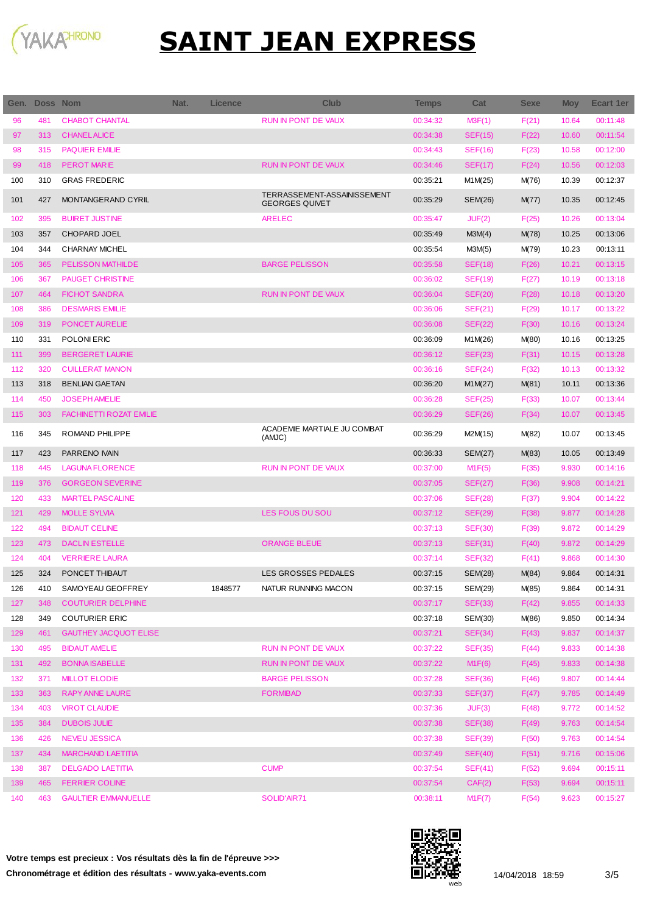

| Gen. | <b>Doss Nom</b> |                                | Nat. | Licence | Club                                                 | <b>Temps</b> | Cat            | <b>Sexe</b> | <b>Moy</b> | <b>Ecart 1er</b> |
|------|-----------------|--------------------------------|------|---------|------------------------------------------------------|--------------|----------------|-------------|------------|------------------|
| 96   | 481             | <b>CHABOT CHANTAL</b>          |      |         | <b>RUN IN PONT DE VAUX</b>                           | 00:34:32     | M3F(1)         | F(21)       | 10.64      | 00:11:48         |
| 97   | 313             | <b>CHANEL ALICE</b>            |      |         |                                                      | 00:34:38     | <b>SEF(15)</b> | F(22)       | 10.60      | 00:11:54         |
| 98   | 315             | <b>PAQUIER EMILIE</b>          |      |         |                                                      | 00:34:43     | <b>SEF(16)</b> | F(23)       | 10.58      | 00:12:00         |
| 99   | 418             | <b>PEROT MARIE</b>             |      |         | <b>RUN IN PONT DE VAUX</b>                           | 00:34:46     | SEF(17)        | F(24)       | 10.56      | 00:12:03         |
| 100  | 310             | <b>GRAS FREDERIC</b>           |      |         |                                                      | 00:35:21     | M1M(25)        | M(76)       | 10.39      | 00:12:37         |
| 101  | 427             | MONTANGERAND CYRIL             |      |         | TERRASSEMENT-ASSAINISSEMENT<br><b>GEORGES QUIVET</b> | 00:35:29     | SEM(26)        | M(77)       | 10.35      | 00:12:45         |
| 102  | 395             | <b>BUIRET JUSTINE</b>          |      |         | <b>ARELEC</b>                                        | 00:35:47     | JUF(2)         | F(25)       | 10.26      | 00:13:04         |
| 103  | 357             | <b>CHOPARD JOEL</b>            |      |         |                                                      | 00:35:49     | M3M(4)         | M(78)       | 10.25      | 00:13:06         |
| 104  | 344             | <b>CHARNAY MICHEL</b>          |      |         |                                                      | 00:35:54     | M3M(5)         | M(79)       | 10.23      | 00:13:11         |
| 105  | 365             | <b>PELISSON MATHILDE</b>       |      |         | <b>BARGE PELISSON</b>                                | 00:35:58     | SEF(18)        | F(26)       | 10.21      | 00:13:15         |
| 106  | 367             | <b>PAUGET CHRISTINE</b>        |      |         |                                                      | 00:36:02     | <b>SEF(19)</b> | F(27)       | 10.19      | 00:13:18         |
| 107  | 464             | <b>FICHOT SANDRA</b>           |      |         | <b>RUN IN PONT DE VAUX</b>                           | 00:36:04     | <b>SEF(20)</b> | F(28)       | 10.18      | 00:13:20         |
| 108  | 386             | <b>DESMARIS EMILIE</b>         |      |         |                                                      | 00:36:06     | <b>SEF(21)</b> | F(29)       | 10.17      | 00:13:22         |
| 109  | 319             | <b>PONCET AURELIE</b>          |      |         |                                                      | 00:36:08     | <b>SEF(22)</b> | F(30)       | 10.16      | 00:13:24         |
| 110  | 331             | POLONI ERIC                    |      |         |                                                      | 00:36:09     | M1M(26)        | M(80)       | 10.16      | 00:13:25         |
| 111  | 399             | <b>BERGERET LAURIE</b>         |      |         |                                                      | 00:36:12     | <b>SEF(23)</b> | F(31)       | 10.15      | 00:13:28         |
| 112  | 320             | <b>CUILLERAT MANON</b>         |      |         |                                                      | 00:36:16     | SEF(24)        | F(32)       | 10.13      | 00:13:32         |
| 113  | 318             | <b>BENLIAN GAETAN</b>          |      |         |                                                      | 00:36:20     | M1M(27)        | M(81)       | 10.11      | 00:13:36         |
| 114  | 450             | <b>JOSEPH AMELIE</b>           |      |         |                                                      | 00:36:28     | SEF(25)        | F(33)       | 10.07      | 00:13:44         |
| 115  | 303             | <b>FACHINETTI ROZAT EMILIE</b> |      |         |                                                      | 00:36:29     | <b>SEF(26)</b> | F(34)       | 10.07      | 00:13:45         |
| 116  | 345             | ROMAND PHILIPPE                |      |         | ACADEMIE MARTIALE JU COMBAT<br>(AMJC)                | 00:36:29     | M2M(15)        | M(82)       | 10.07      | 00:13:45         |
| 117  | 423             | PARRENO IVAIN                  |      |         |                                                      | 00:36:33     | <b>SEM(27)</b> | M(83)       | 10.05      | 00:13:49         |
| 118  | 445             | <b>LAGUNA FLORENCE</b>         |      |         | <b>RUN IN PONT DE VAUX</b>                           | 00:37:00     | M1F(5)         | F(35)       | 9.930      | 00:14:16         |
| 119  | 376             | <b>GORGEON SEVERINE</b>        |      |         |                                                      | 00:37:05     | <b>SEF(27)</b> | F(36)       | 9.908      | 00:14:21         |
| 120  | 433             | <b>MARTEL PASCALINE</b>        |      |         |                                                      | 00:37:06     | <b>SEF(28)</b> | F(37)       | 9.904      | 00:14:22         |
| 121  | 429             | <b>MOLLE SYLVIA</b>            |      |         | <b>LES FOUS DU SOU</b>                               | 00:37:12     | <b>SEF(29)</b> | F(38)       | 9.877      | 00:14:28         |
| 122  | 494             | <b>BIDAUT CELINE</b>           |      |         |                                                      | 00:37:13     | <b>SEF(30)</b> | F(39)       | 9.872      | 00:14:29         |
| 123  | 473             | <b>DACLIN ESTELLE</b>          |      |         | <b>ORANGE BLEUE</b>                                  | 00:37:13     | SEF(31)        | F(40)       | 9.872      | 00:14:29         |
| 124  | 404             | <b>VERRIERE LAURA</b>          |      |         |                                                      | 00:37:14     | <b>SEF(32)</b> | F(41)       | 9.868      | 00:14:30         |
| 125  | 324             | PONCET THIBAUT                 |      |         | <b>LES GROSSES PEDALES</b>                           | 00:37:15     | SEM(28)        | M(84)       | 9.864      | 00:14:31         |
| 126  | 410             | SAMOYEAU GEOFFREY              |      | 1848577 | NATUR RUNNING MACON                                  | 00:37:15     | <b>SEM(29)</b> | M(85)       | 9.864      | 00:14:31         |
| 127  | 348             | <b>COUTURIER DELPHINE</b>      |      |         |                                                      | 00:37:17     | <b>SEF(33)</b> | F(42)       | 9.855      | 00:14:33         |
| 128  | 349             | COUTURIER ERIC                 |      |         |                                                      | 00:37:18     | SEM(30)        | M(86)       | 9.850      | 00:14:34         |
| 129  | 461             | <b>GAUTHEY JACQUOT ELISE</b>   |      |         |                                                      | 00:37:21     | SEF(34)        | F(43)       | 9.837      | 00:14:37         |
| 130  | 495             | <b>BIDAUT AMELIE</b>           |      |         | RUN IN PONT DE VAUX                                  | 00:37:22     | SEF(35)        | F(44)       | 9.833      | 00:14:38         |
| 131  | 492             | <b>BONNA ISABELLE</b>          |      |         | RUN IN PONT DE VAUX                                  | 00:37:22     | M1F(6)         | F(45)       | 9.833      | 00:14:38         |
| 132  | 371             | <b>MILLOT ELODIE</b>           |      |         | <b>BARGE PELISSON</b>                                | 00:37:28     | <b>SEF(36)</b> | F(46)       | 9.807      | 00:14:44         |
| 133  | 363             | <b>RAPY ANNE LAURE</b>         |      |         | <b>FORMIBAD</b>                                      | 00:37:33     | <b>SEF(37)</b> | F(47)       | 9.785      | 00:14:49         |
| 134  | 403             | <b>VIROT CLAUDIE</b>           |      |         |                                                      | 00:37:36     | JUF(3)         | F(48)       | 9.772      | 00:14:52         |
| 135  | 384             | <b>DUBOIS JULIE</b>            |      |         |                                                      | 00:37:38     | <b>SEF(38)</b> | F(49)       | 9.763      | 00:14:54         |
| 136  | 426             | <b>NEVEU JESSICA</b>           |      |         |                                                      | 00:37:38     | <b>SEF(39)</b> | F(50)       | 9.763      | 00:14:54         |
| 137  | 434             | <b>MARCHAND LAETITIA</b>       |      |         |                                                      | 00:37:49     | SEF(40)        | F(51)       | 9.716      | 00:15:06         |
| 138  | 387             | <b>DELGADO LAETITIA</b>        |      |         | <b>CUMP</b>                                          | 00:37:54     | SEF(41)        | F(52)       | 9.694      | 00:15:11         |
| 139  | 465             | <b>FERRIER COLINE</b>          |      |         |                                                      | 00:37:54     | CAF(2)         | F(53)       | 9.694      | 00:15:11         |
| 140  | 463             | <b>GAULTIER EMMANUELLE</b>     |      |         | SOLID'AIR71                                          | 00:38:11     | M1F(7)         | F(54)       | 9.623      | 00:15:27         |

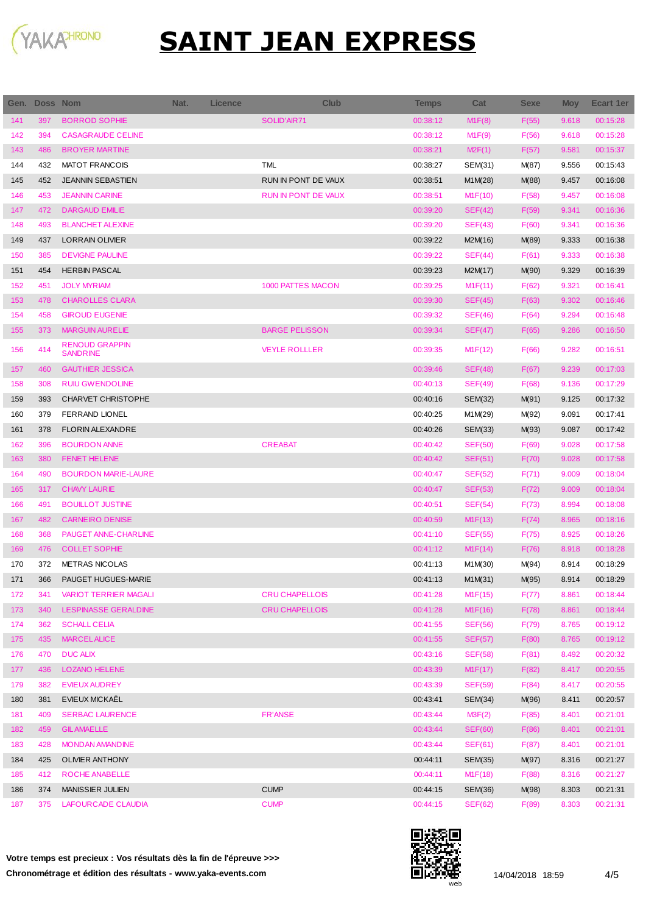

|     | Gen. Doss Nom |                                          | Nat. | <b>Licence</b> | <b>Club</b>                | <b>Temps</b> | Cat            | <b>Sexe</b> | <b>Moy</b> | Ecart 1er |
|-----|---------------|------------------------------------------|------|----------------|----------------------------|--------------|----------------|-------------|------------|-----------|
| 141 | 397           | <b>BORROD SOPHIE</b>                     |      |                | SOLID'AIR71                | 00:38:12     | M1F(8)         | F(55)       | 9.618      | 00:15:28  |
| 142 | 394           | <b>CASAGRAUDE CELINE</b>                 |      |                |                            | 00:38:12     | M1F(9)         | F(56)       | 9.618      | 00:15:28  |
| 143 | 486           | <b>BROYER MARTINE</b>                    |      |                |                            | 00:38:21     | M2F(1)         | F(57)       | 9.581      | 00:15:37  |
| 144 | 432           | <b>MATOT FRANCOIS</b>                    |      |                | <b>TML</b>                 | 00:38:27     | SEM(31)        | M(87)       | 9.556      | 00:15:43  |
| 145 | 452           | <b>JEANNIN SEBASTIEN</b>                 |      |                | RUN IN PONT DE VAUX        | 00:38:51     | M1M(28)        | M(88)       | 9.457      | 00:16:08  |
| 146 | 453           | <b>JEANNIN CARINE</b>                    |      |                | <b>RUN IN PONT DE VAUX</b> | 00:38:51     | M1F(10)        | F(58)       | 9.457      | 00:16:08  |
| 147 | 472           | <b>DARGAUD EMILIE</b>                    |      |                |                            | 00:39:20     | SEF(42)        | F(59)       | 9.341      | 00:16:36  |
| 148 | 493           | <b>BLANCHET ALEXINE</b>                  |      |                |                            | 00:39:20     | SEF(43)        | F(60)       | 9.341      | 00:16:36  |
| 149 | 437           | <b>LORRAIN OLIVIER</b>                   |      |                |                            | 00:39:22     | M2M(16)        | M(89)       | 9.333      | 00:16:38  |
| 150 | 385           | <b>DEVIGNE PAULINE</b>                   |      |                |                            | 00:39:22     | SEF(44)        | F(61)       | 9.333      | 00:16:38  |
| 151 | 454           | <b>HERBIN PASCAL</b>                     |      |                |                            | 00:39:23     | M2M(17)        | M(90)       | 9.329      | 00:16:39  |
| 152 | 451           | <b>JOLY MYRIAM</b>                       |      |                | 1000 PATTES MACON          | 00:39:25     | M1F(11)        | F(62)       | 9.321      | 00:16:41  |
| 153 | 478           | <b>CHAROLLES CLARA</b>                   |      |                |                            | 00:39:30     | SEF(45)        | F(63)       | 9.302      | 00:16:46  |
| 154 | 458           | <b>GIROUD EUGENIE</b>                    |      |                |                            | 00:39:32     | <b>SEF(46)</b> | F(64)       | 9.294      | 00:16:48  |
| 155 | 373           | <b>MARGUIN AURELIE</b>                   |      |                | <b>BARGE PELISSON</b>      | 00:39:34     | SEF(47)        | F(65)       | 9.286      | 00:16:50  |
| 156 | 414           | <b>RENOUD GRAPPIN</b><br><b>SANDRINE</b> |      |                | <b>VEYLE ROLLLER</b>       | 00:39:35     | M1F(12)        | F(66)       | 9.282      | 00:16:51  |
| 157 | 460           | <b>GAUTHIER JESSICA</b>                  |      |                |                            | 00:39:46     | SEF(48)        | F(67)       | 9.239      | 00:17:03  |
| 158 | 308           | <b>RUIU GWENDOLINE</b>                   |      |                |                            | 00:40:13     | SEF(49)        | F(68)       | 9.136      | 00:17:29  |
| 159 | 393           | <b>CHARVET CHRISTOPHE</b>                |      |                |                            | 00:40:16     | SEM(32)        | M(91)       | 9.125      | 00:17:32  |
| 160 | 379           | <b>FERRAND LIONEL</b>                    |      |                |                            | 00:40:25     | M1M(29)        | M(92)       | 9.091      | 00:17:41  |
| 161 | 378           | <b>FLORIN ALEXANDRE</b>                  |      |                |                            | 00:40:26     | SEM(33)        | M(93)       | 9.087      | 00:17:42  |
| 162 | 396           | <b>BOURDON ANNE</b>                      |      |                | <b>CREABAT</b>             | 00:40:42     | <b>SEF(50)</b> | F(69)       | 9.028      | 00:17:58  |
| 163 | 380           | FENET HELENE                             |      |                |                            | 00:40:42     | SEF(51)        | F(70)       | 9.028      | 00:17:58  |
| 164 | 490           | <b>BOURDON MARIE-LAURE</b>               |      |                |                            | 00:40:47     | <b>SEF(52)</b> | F(71)       | 9.009      | 00:18:04  |
| 165 | 317           | <b>CHAVY LAURIE</b>                      |      |                |                            | 00:40:47     | <b>SEF(53)</b> | F(72)       | 9.009      | 00:18:04  |
| 166 | 491           | <b>BOUILLOT JUSTINE</b>                  |      |                |                            | 00:40:51     | SEF(54)        | F(73)       | 8.994      | 00:18:08  |
| 167 | 482           | <b>CARNEIRO DENISE</b>                   |      |                |                            | 00:40:59     | M1F(13)        | F(74)       | 8.965      | 00:18:16  |
| 168 | 368           | PAUGET ANNE-CHARLINE                     |      |                |                            | 00:41:10     | <b>SEF(55)</b> | F(75)       | 8.925      | 00:18:26  |
| 169 | 476           | <b>COLLET SOPHIE</b>                     |      |                |                            | 00:41:12     | M1F(14)        | F(76)       | 8.918      | 00:18:28  |
| 170 | 372           | <b>METRAS NICOLAS</b>                    |      |                |                            | 00:41:13     | M1M(30)        | M(94)       | 8.914      | 00:18:29  |
| 171 | 366           | PAUGET HUGUES-MARIE                      |      |                |                            | 00:41:13     | M1M(31)        | M(95)       | 8.914      | 00:18:29  |
| 172 | 341           | <b>VARIOT TERRIER MAGALI</b>             |      |                | <b>CRU CHAPELLOIS</b>      | 00:41:28     | M1F(15)        | F(77)       | 8.861      | 00:18:44  |
| 173 | 340           | <b>LESPINASSE GERALDINE</b>              |      |                | <b>CRU CHAPELLOIS</b>      | 00:41:28     | M1F(16)        | F(78)       | 8.861      | 00:18:44  |
| 174 | 362           | <b>SCHALL CELIA</b>                      |      |                |                            | 00:41:55     | <b>SEF(56)</b> | F(79)       | 8.765      | 00:19:12  |
| 175 | 435           | <b>MARCELALICE</b>                       |      |                |                            | 00:41:55     | <b>SEF(57)</b> | F(80)       | 8.765      | 00:19:12  |
| 176 | 470           | <b>DUC ALIX</b>                          |      |                |                            | 00:43:16     | <b>SEF(58)</b> | F(81)       | 8.492      | 00:20:32  |
| 177 | 436           | <b>LOZANO HELENE</b>                     |      |                |                            | 00:43:39     | M1F(17)        | F(82)       | 8.417      | 00:20:55  |
| 179 | 382           | <b>EVIEUX AUDREY</b>                     |      |                |                            | 00:43:39     | <b>SEF(59)</b> | F(84)       | 8.417      | 00:20:55  |
| 180 | 381           | <b>EVIEUX MICKAEL</b>                    |      |                |                            | 00:43:41     | SEM(34)        | M(96)       | 8.411      | 00:20:57  |
| 181 | 409           | <b>SERBAC LAURENCE</b>                   |      |                | <b>FR'ANSE</b>             | 00:43:44     | M3F(2)         | F(85)       | 8.401      | 00:21:01  |
| 182 | 459           | <b>GIL AMAELLE</b>                       |      |                |                            | 00:43:44     | <b>SEF(60)</b> | F(86)       | 8.401      | 00:21:01  |
| 183 | 428           | <b>MONDAN AMANDINE</b>                   |      |                |                            | 00:43:44     | <b>SEF(61)</b> | F(87)       | 8.401      | 00:21:01  |
| 184 | 425           | OLIVIER ANTHONY                          |      |                |                            | 00:44:11     | SEM(35)        | M(97)       | 8.316      | 00:21:27  |
| 185 | 412           | ROCHE ANABELLE                           |      |                |                            | 00:44:11     | M1F(18)        | F(88)       | 8.316      | 00:21:27  |
| 186 | 374           | MANISSIER JULIEN                         |      |                | <b>CUMP</b>                | 00:44:15     | SEM(36)        | M(98)       | 8.303      | 00:21:31  |
| 187 | 375           | LAFOURCADE CLAUDIA                       |      |                | <b>CUMP</b>                | 00:44:15     | <b>SEF(62)</b> | F(89)       | 8.303      | 00:21:31  |